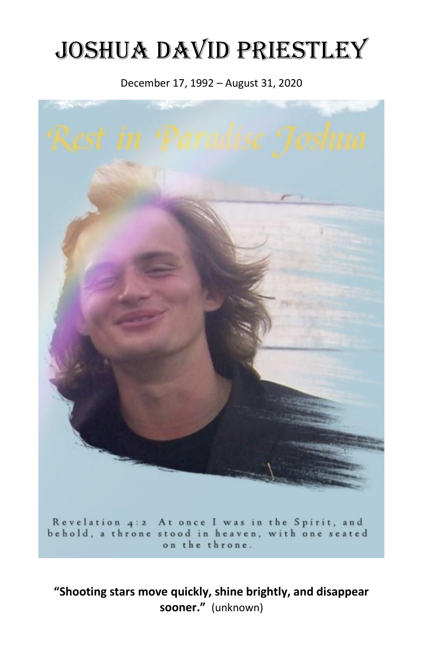# Joshua David Priestley

## December 17, 1992 – August 31, 2020



Revelation 4:2 At once I was in the Spirit, and behold, a throne stood in heaven, with one seated on the throne.

**"Shooting stars move quickly, shine brightly, and disappear sooner."** (unknown)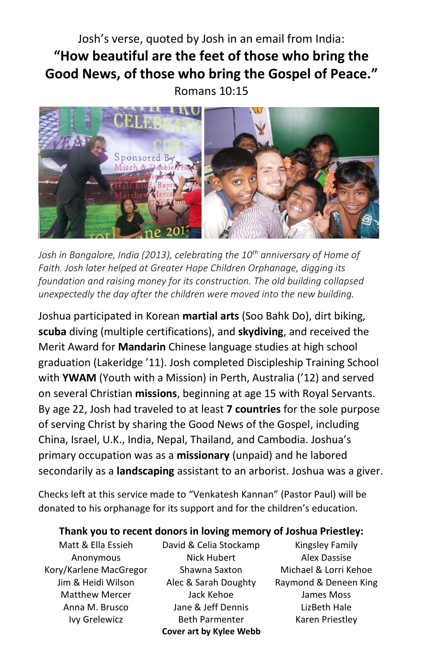# Josh's verse, quoted by Josh in an email from India: **"How beautiful are the feet of those who bring the Good News, of those who bring the Gospel of Peace."** Romans 10:15



*Josh in Bangalore, India (2013), celebrating the 10th anniversary of Home of Faith. Josh later helped at Greater Hope Children Orphanage, digging its foundation and raising money for its construction. The old building collapsed unexpectedly the day after the children were moved into the new building.*

Joshua participated in Korean **martial arts** (Soo Bahk Do), dirt biking, **scuba** diving (multiple certifications), and **skydiving**, and received the Merit Award for **Mandarin** Chinese language studies at high school graduation (Lakeridge '11). Josh completed Discipleship Training School with **YWAM** (Youth with a Mission) in Perth, Australia ('12) and served on several Christian **missions**, beginning at age 15 with Royal Servants. By age 22, Josh had traveled to at least **7 countries** for the sole purpose of serving Christ by sharing the Good News of the Gospel, including China, Israel, U.K., India, Nepal, Thailand, and Cambodia. Joshua's primary occupation was as a **missionary** (unpaid) and he labored secondarily as a **landscaping** assistant to an arborist. Joshua was a giver.

Checks left at this service made to "Venkatesh Kannan" (Pastor Paul) will be donated to his orphanage for its support and for the children's education.

#### **Thank you to recent donors in loving memory of Joshua Priestley:**

Matt & Ella Essieh Anonymous Kory/Karlene MacGregor Jim & Heidi Wilson Matthew Mercer Anna M. Brusco Ivy Grelewicz

David & Celia Stockamp Nick Hubert Shawna Saxton Alec & Sarah Doughty Jack Kehoe Jane & Jeff Dennis Beth Parmenter **Cover art by Kylee Webb**

Kingsley Family Alex Dassise Michael & Lorri Kehoe Raymond & Deneen King James Moss LizBeth Hale Karen Priestley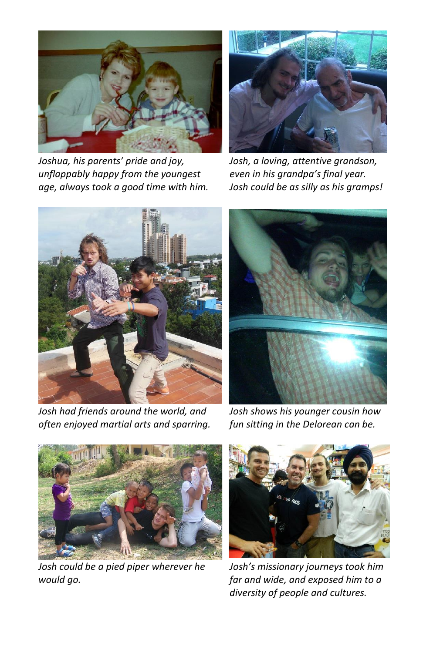

*Joshua, his parents' pride and joy, unflappably happy from the youngest age, always took a good time with him.*



*Josh, a loving, attentive grandson, even in his grandpa's final year. Josh could be as silly as his gramps!*



*Josh had friends around the world, and often enjoyed martial arts and sparring.*



*Josh shows his younger cousin how fun sitting in the Delorean can be.*



*Josh could be a pied piper wherever he would go.*



*Josh's missionary journeys took him far and wide, and exposed him to a diversity of people and cultures.*